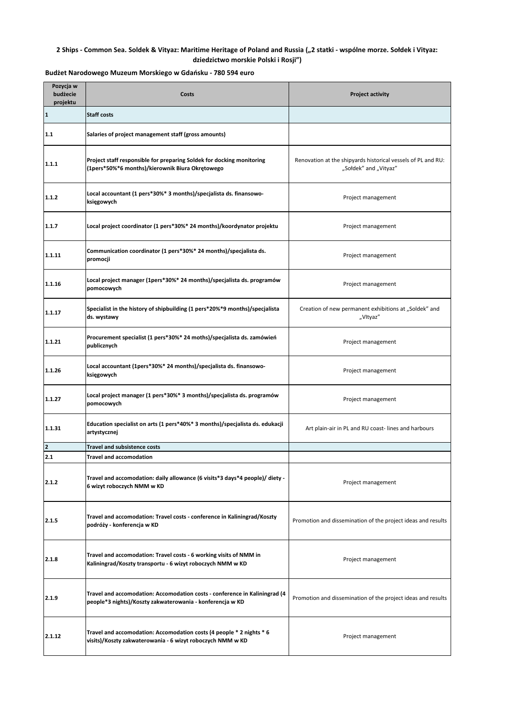## **2 Ships - Common Sea. Soldek & Vityaz: Maritime Heritage of Poland and Russia ("2 statki - wspólne morze. Sołdek i Vityaz: dziedzictwo morskie Polski i Rosji")**

| Pozycja w<br>budżecie<br>projektu | Costs                                                                                                                                   | <b>Project activity</b>                                                               |
|-----------------------------------|-----------------------------------------------------------------------------------------------------------------------------------------|---------------------------------------------------------------------------------------|
| 1                                 | <b>Staff costs</b>                                                                                                                      |                                                                                       |
| 1.1                               | Salaries of project management staff (gross amounts)                                                                                    |                                                                                       |
| 1.1.1                             | Project staff responsible for preparing Soldek for docking monitoring<br>(1pers*50%*6 months)/kierownik Biura Okrętowego                | Renovation at the shipyards historical vessels of PL and RU:<br>"Sołdek" and "Vityaz" |
| 1.1.2                             | Local accountant (1 pers*30%* 3 months)/specjalista ds. finansowo-<br>księgowych                                                        | Project management                                                                    |
| 1.1.7                             | Local project coordinator (1 pers*30%* 24 months)/koordynator projektu                                                                  | Project management                                                                    |
| 1.1.11                            | Communication coordinator (1 pers*30%* 24 months)/specjalista ds.<br>promocji                                                           | Project management                                                                    |
| 1.1.16                            | Local project manager (1pers*30%* 24 months)/specjalista ds. programów<br>pomocowych                                                    | Project management                                                                    |
| 1.1.17                            | Specialist in the history of shipbuilding (1 pers*20%*9 months)/specjalista<br>ds. wystawy                                              | Creation of new permanent exhibitions at "Soldek" and<br>"Vltyaz"                     |
| 1.1.21                            | Procurement specialist (1 pers*30%* 24 moths)/specjalista ds. zamówień<br>publicznych                                                   | Project management                                                                    |
| 1.1.26                            | Local accountant (1pers*30%* 24 months)/specjalista ds. finansowo-<br>księgowych                                                        | Project management                                                                    |
| 1.1.27                            | Local project manager (1 pers*30%* 3 months)/specjalista ds. programów<br>pomocowych                                                    | Project management                                                                    |
| 1.1.31                            | Education specialist on arts (1 pers*40%* 3 months)/specjalista ds. edukacji<br>artystycznej                                            | Art plain-air in PL and RU coast-lines and harbours                                   |
| $\mathbf{2}$                      | <b>Travel and subsistence costs</b>                                                                                                     |                                                                                       |
| 2.1                               | Travel and accomodation                                                                                                                 |                                                                                       |
| 2.1.2                             | Travel and accomodation: daily allowance (6 visits*3 days*4 people)/ diety -<br>6 wizyt roboczych NMM w KD                              | Project management                                                                    |
| 2.1.5                             | Travel and accomodation: Travel costs - conference in Kaliningrad/Koszty<br>podróży - konferencja w KD                                  | Promotion and dissemination of the project ideas and results                          |
| 2.1.8                             | Travel and accomodation: Travel costs - 6 working visits of NMM in<br>Kaliningrad/Koszty transportu - 6 wizyt roboczych NMM w KD        | Project management                                                                    |
| 2.1.9                             | Travel and accomodation: Accomodation costs - conference in Kaliningrad (4<br>people*3 nights)/Koszty zakwaterowania - konferencja w KD | Promotion and dissemination of the project ideas and results                          |
| 2.1.12                            | Travel and accomodation: Accomodation costs (4 people * 2 nights * 6<br>visits)/Koszty zakwaterowania - 6 wizyt roboczych NMM w KD      | Project management                                                                    |

**Budżet Narodowego Muzeum Morskiego w Gdańsku - 780 594 euro**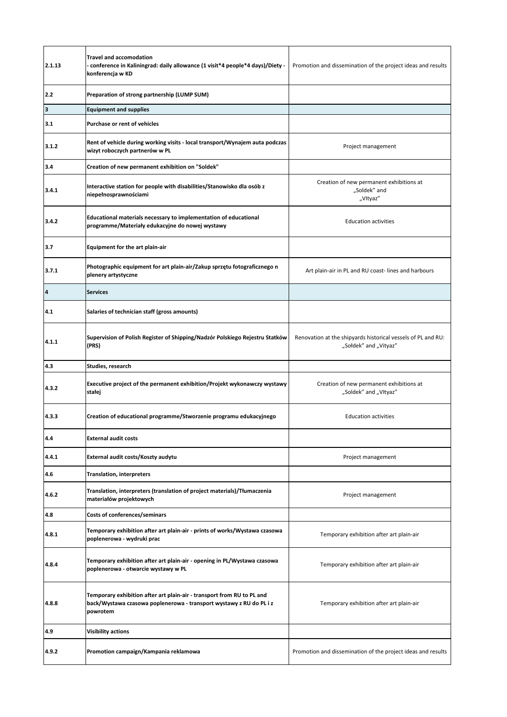| 2.1.13 | <b>Travel and accomodation</b><br>- conference in Kaliningrad: daily allowance (1 visit*4 people*4 days)/Diety -<br>konferencja w KD                      | Promotion and dissemination of the project ideas and results                          |
|--------|-----------------------------------------------------------------------------------------------------------------------------------------------------------|---------------------------------------------------------------------------------------|
| 2.2    | Preparation of strong partnership (LUMP SUM)                                                                                                              |                                                                                       |
| 3      | <b>Equipment and supplies</b>                                                                                                                             |                                                                                       |
| 3.1    | Purchase or rent of vehicles                                                                                                                              |                                                                                       |
| 3.1.2  | Rent of vehicle during working visits - local transport/Wynajem auta podczas<br>wizyt roboczych partnerów w PL                                            | Project management                                                                    |
| 3.4    | Creation of new permanent exhibition on "Soldek"                                                                                                          |                                                                                       |
| 3.4.1  | Interactive station for people with disabilities/Stanowisko dla osób z<br>niepełnosprawnościami                                                           | Creation of new permanent exhibitions at<br>"Soldek" and<br>"Vltyaz"                  |
| 3.4.2  | Educational materials necessary to implementation of educational<br>programme/Materiały edukacyjne do nowej wystawy                                       | <b>Education activities</b>                                                           |
| 3.7    | <b>Equipment for the art plain-air</b>                                                                                                                    |                                                                                       |
| 3.7.1  | Photographic equipment for art plain-air/Zakup sprzętu fotograficznego n<br>plenery artystyczne                                                           | Art plain-air in PL and RU coast-lines and harbours                                   |
| 4      | <b>Services</b>                                                                                                                                           |                                                                                       |
| 4.1    | Salaries of technician staff (gross amounts)                                                                                                              |                                                                                       |
| 4.1.1  | Supervision of Polish Register of Shipping/Nadzór Polskiego Rejestru Statków<br>(PRS)                                                                     | Renovation at the shipyards historical vessels of PL and RU:<br>"Sołdek" and "Vityaz" |
| 4.3    | Studies, research                                                                                                                                         |                                                                                       |
| 4.3.2  | Executive project of the permanent exhibition/Projekt wykonawczy wystawy<br>stałej                                                                        | Creation of new permanent exhibitions at<br>"Soldek" and "Vltyaz"                     |
| 4.3.3  | Creation of educational programme/Stworzenie programu edukacyjnego                                                                                        | <b>Education activities</b>                                                           |
| 4.4    | <b>External audit costs</b>                                                                                                                               |                                                                                       |
| 4.4.1  | External audit costs/Koszty audytu                                                                                                                        | Project management                                                                    |
| 4.6    | <b>Translation, interpreters</b>                                                                                                                          |                                                                                       |
| 4.6.2  | Translation, interpreters (translation of project materials)/Tłumaczenia<br>materiałów projektowych                                                       | Project management                                                                    |
| 4.8    | Costs of conferences/seminars                                                                                                                             |                                                                                       |
| 4.8.1  | Temporary exhibition after art plain-air - prints of works/Wystawa czasowa<br>poplenerowa - wydruki prac                                                  | Temporary exhibition after art plain-air                                              |
| 4.8.4  | Temporary exhibition after art plain-air - opening in PL/Wystawa czasowa<br>poplenerowa - otwarcie wystawy w PL                                           | Temporary exhibition after art plain-air                                              |
| 4.8.8  | Temporary exhibition after art plain-air - transport from RU to PL and<br>back/Wystawa czasowa poplenerowa - transport wystawy z RU do PL i z<br>powrotem | Temporary exhibition after art plain-air                                              |
| 4.9    | <b>Visibility actions</b>                                                                                                                                 |                                                                                       |
| 4.9.2  | Promotion campaign/Kampania reklamowa                                                                                                                     | Promotion and dissemination of the project ideas and results                          |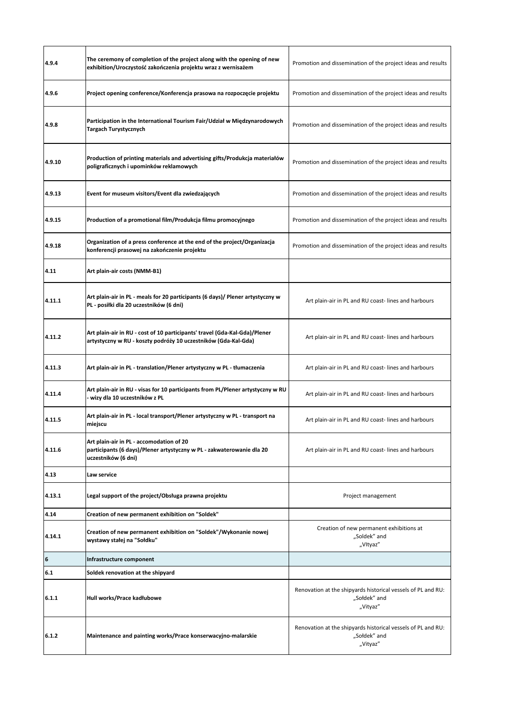| 4.9.4            | The ceremony of completion of the project along with the opening of new<br>exhibition/Uroczystość zakończenia projektu wraz z wernisażem     | Promotion and dissemination of the project ideas and results                             |
|------------------|----------------------------------------------------------------------------------------------------------------------------------------------|------------------------------------------------------------------------------------------|
| 4.9.6            | Project opening conference/Konferencja prasowa na rozpoczęcie projektu                                                                       | Promotion and dissemination of the project ideas and results                             |
| 4.9.8            | Participation in the International Tourism Fair/Udział w Międzynarodowych<br>Targach Turystycznych                                           | Promotion and dissemination of the project ideas and results                             |
| 4.9.10           | Production of printing materials and advertising gifts/Produkcja materiałów<br>poligraficznych i upominków reklamowych                       | Promotion and dissemination of the project ideas and results                             |
| 4.9.13           | Event for museum visitors/Event dla zwiedzających                                                                                            | Promotion and dissemination of the project ideas and results                             |
| 4.9.15           | Production of a promotional film/Produkcja filmu promocyjnego                                                                                | Promotion and dissemination of the project ideas and results                             |
| 4.9.18           | Organization of a press conference at the end of the project/Organizacja<br>konferencji prasowej na zakończenie projektu                     | Promotion and dissemination of the project ideas and results                             |
| 4.11             | Art plain-air costs (NMM-B1)                                                                                                                 |                                                                                          |
| 4.11.1           | Art plain-air in PL - meals for 20 participants (6 days)/ Plener artystyczny w<br>PL - posiłki dla 20 uczestników (6 dni)                    | Art plain-air in PL and RU coast-lines and harbours                                      |
| 4.11.2           | Art plain-air in RU - cost of 10 participants' travel (Gda-Kal-Gda)/Plener<br>artystyczny w RU - koszty podróży 10 uczestników (Gda-Kal-Gda) | Art plain-air in PL and RU coast-lines and harbours                                      |
| 4.11.3           | Art plain-air in PL - translation/Plener artystyczny w PL - tłumaczenia                                                                      | Art plain-air in PL and RU coast-lines and harbours                                      |
| 4.11.4           | Art plain-air in RU - visas for 10 participants from PL/Plener artystyczny w RU<br>wizy dla 10 uczestników z PL                              | Art plain-air in PL and RU coast-lines and harbours                                      |
| 4.11.5           | Art plain-air in PL - local transport/Plener artystyczny w PL - transport na<br>miejscu                                                      | Art plain-air in PL and RU coast-lines and harbours                                      |
| 4.11.6           | Art plain-air in PL - accomodation of 20<br>participants (6 days)/Plener artystyczny w PL - zakwaterowanie dla 20<br>uczestników (6 dni)     | Art plain-air in PL and RU coast-lines and harbours                                      |
| 4.13             | Law service                                                                                                                                  |                                                                                          |
| 4.13.1           | Legal support of the project/Obsługa prawna projektu                                                                                         | Project management                                                                       |
| 4.14             | Creation of new permanent exhibition on "Soldek"                                                                                             |                                                                                          |
| 4.14.1           | Creation of new permanent exhibition on "Soldek"/Wykonanie nowej<br>wystawy stałej na "Sołdku"                                               | Creation of new permanent exhibitions at<br>"Soldek" and<br>"Vltyaz"                     |
| $\boldsymbol{6}$ | Infrastructure component                                                                                                                     |                                                                                          |
| 6.1              | Soldek renovation at the shipyard                                                                                                            |                                                                                          |
| 6.1.1            | Hull works/Prace kadłubowe                                                                                                                   | Renovation at the shipyards historical vessels of PL and RU:<br>"Sołdek" and<br>"Vityaz" |
| 6.1.2            | Maintenance and painting works/Prace konserwacyjno-malarskie                                                                                 | Renovation at the shipyards historical vessels of PL and RU:<br>"Sołdek" and<br>"Vityaz" |